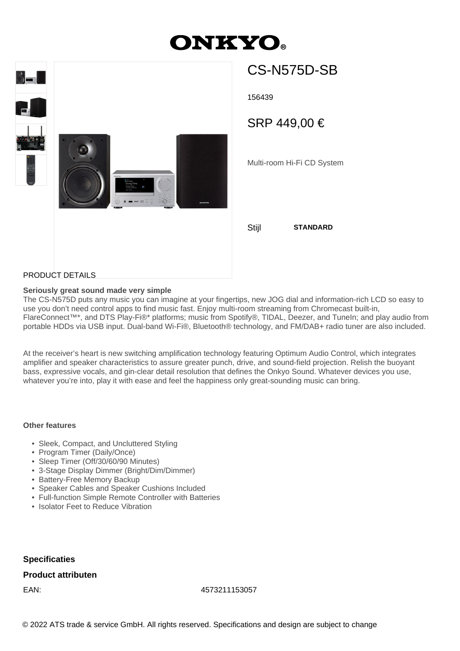# **ONKYO.**



## CS-N575D-SB

156439

SRP 449,00 €

Multi-room Hi-Fi CD System

PRODUCT DETAILS

### **Seriously great sound made very simple**

The CS-N575D puts any music you can imagine at your fingertips, new JOG dial and information-rich LCD so easy to use you don't need control apps to find music fast. Enjoy multi-room streaming from Chromecast built-in, FlareConnect™\*, and DTS Play-Fi®\* platforms; music from Spotify®, TIDAL, Deezer, and TuneIn; and play audio from portable HDDs via USB input. Dual-band Wi-Fi®, Bluetooth® technology, and FM/DAB+ radio tuner are also included.

At the receiver's heart is new switching amplification technology featuring Optimum Audio Control, which integrates amplifier and speaker characteristics to assure greater punch, drive, and sound-field projection. Relish the buoyant bass, expressive vocals, and gin-clear detail resolution that defines the Onkyo Sound. Whatever devices you use, whatever you're into, play it with ease and feel the happiness only great-sounding music can bring.

### **Other features**

- Sleek, Compact, and Uncluttered Styling
- Program Timer (Daily/Once)
- Sleep Timer (Off/30/60/90 Minutes)
- 3-Stage Display Dimmer (Bright/Dim/Dimmer)
- Battery-Free Memory Backup
- Speaker Cables and Speaker Cushions Included
- Full-function Simple Remote Controller with Batteries
- Isolator Feet to Reduce Vibration

**Specificaties**

### **Product attributen**

EAN: 4573211153057